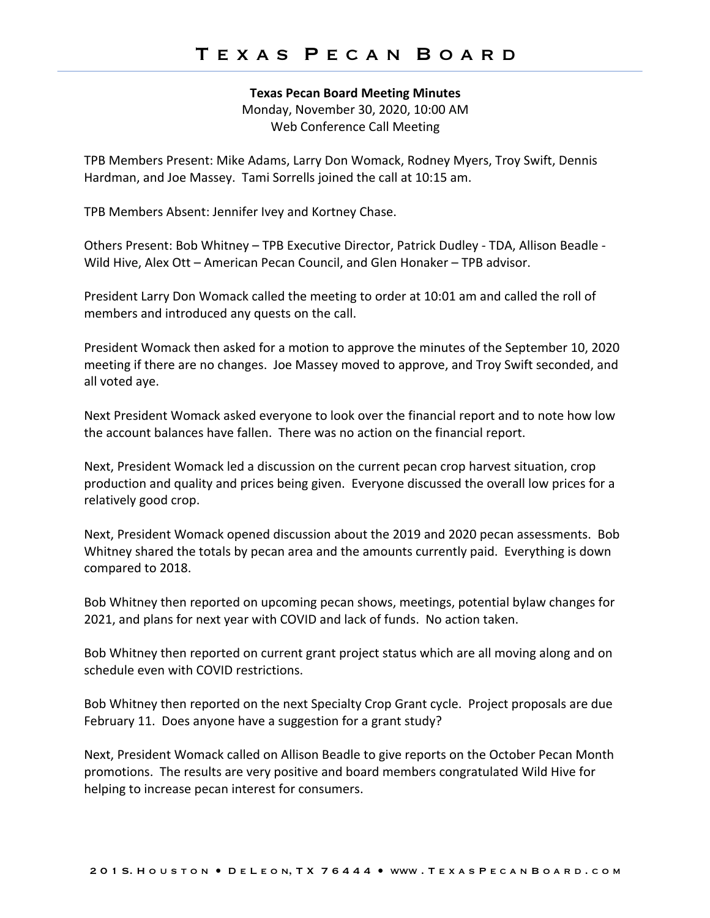#### **Texas Pecan Board Meeting Minutes**

Monday, November 30, 2020, 10:00 AM Web Conference Call Meeting

TPB Members Present: Mike Adams, Larry Don Womack, Rodney Myers, Troy Swift, Dennis Hardman, and Joe Massey. Tami Sorrells joined the call at 10:15 am.

TPB Members Absent: Jennifer Ivey and Kortney Chase.

Others Present: Bob Whitney – TPB Executive Director, Patrick Dudley - TDA, Allison Beadle - Wild Hive, Alex Ott – American Pecan Council, and Glen Honaker – TPB advisor.

President Larry Don Womack called the meeting to order at 10:01 am and called the roll of members and introduced any quests on the call.

President Womack then asked for a motion to approve the minutes of the September 10, 2020 meeting if there are no changes. Joe Massey moved to approve, and Troy Swift seconded, and all voted aye.

Next President Womack asked everyone to look over the financial report and to note how low the account balances have fallen. There was no action on the financial report.

Next, President Womack led a discussion on the current pecan crop harvest situation, crop production and quality and prices being given. Everyone discussed the overall low prices for a relatively good crop.

Next, President Womack opened discussion about the 2019 and 2020 pecan assessments. Bob Whitney shared the totals by pecan area and the amounts currently paid. Everything is down compared to 2018.

Bob Whitney then reported on upcoming pecan shows, meetings, potential bylaw changes for 2021, and plans for next year with COVID and lack of funds. No action taken.

Bob Whitney then reported on current grant project status which are all moving along and on schedule even with COVID restrictions.

Bob Whitney then reported on the next Specialty Crop Grant cycle. Project proposals are due February 11. Does anyone have a suggestion for a grant study?

Next, President Womack called on Allison Beadle to give reports on the October Pecan Month promotions. The results are very positive and board members congratulated Wild Hive for helping to increase pecan interest for consumers.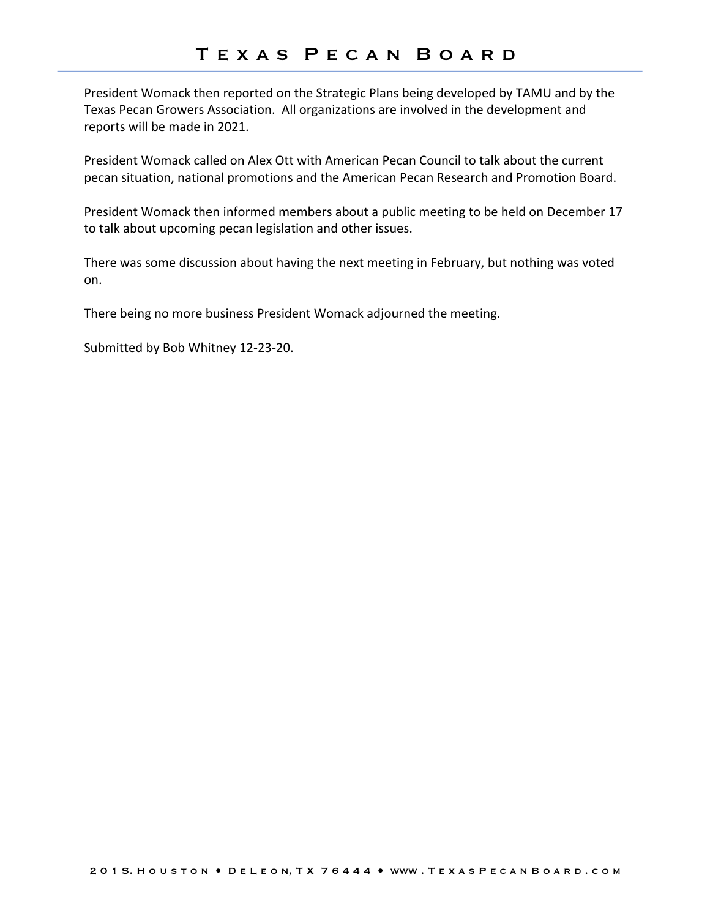President Womack then reported on the Strategic Plans being developed by TAMU and by the Texas Pecan Growers Association. All organizations are involved in the development and reports will be made in 2021.

President Womack called on Alex Ott with American Pecan Council to talk about the current pecan situation, national promotions and the American Pecan Research and Promotion Board.

President Womack then informed members about a public meeting to be held on December 17 to talk about upcoming pecan legislation and other issues.

There was some discussion about having the next meeting in February, but nothing was voted on.

There being no more business President Womack adjourned the meeting.

Submitted by Bob Whitney 12-23-20.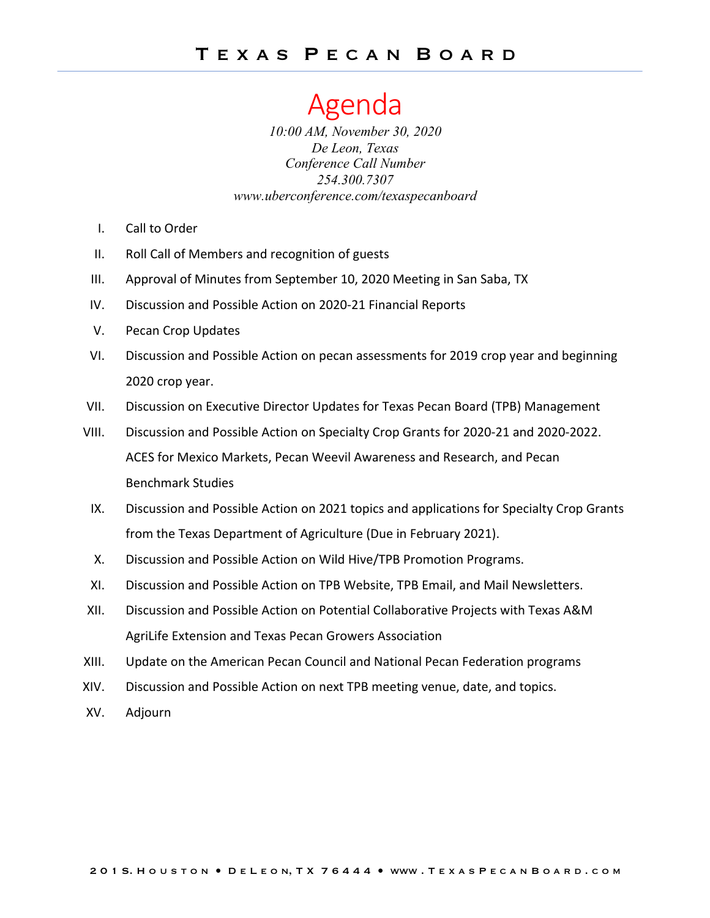# Agenda

*10:00 AM, November 30, 2020 De Leon, Texas Conference Call Number 254.300.7307 www.uberconference.com/texaspecanboard*

- I. Call to Order
- II. Roll Call of Members and recognition of guests
- III. Approval of Minutes from September 10, 2020 Meeting in San Saba, TX
- IV. Discussion and Possible Action on 2020-21 Financial Reports
- V. Pecan Crop Updates
- VI. Discussion and Possible Action on pecan assessments for 2019 crop year and beginning 2020 crop year.
- VII. Discussion on Executive Director Updates for Texas Pecan Board (TPB) Management
- VIII. Discussion and Possible Action on Specialty Crop Grants for 2020-21 and 2020-2022. ACES for Mexico Markets, Pecan Weevil Awareness and Research, and Pecan Benchmark Studies
- IX. Discussion and Possible Action on 2021 topics and applications for Specialty Crop Grants from the Texas Department of Agriculture (Due in February 2021).
- X. Discussion and Possible Action on Wild Hive/TPB Promotion Programs.
- XI. Discussion and Possible Action on TPB Website, TPB Email, and Mail Newsletters.
- XII. Discussion and Possible Action on Potential Collaborative Projects with Texas A&M AgriLife Extension and Texas Pecan Growers Association
- XIII. Update on the American Pecan Council and National Pecan Federation programs
- XIV. Discussion and Possible Action on next TPB meeting venue, date, and topics.
- XV. Adjourn